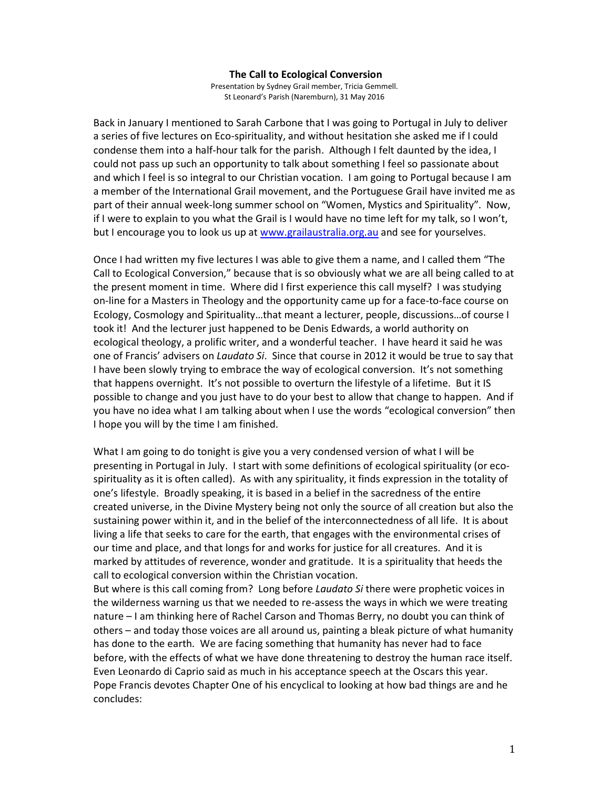#### **The Call to Ecological Conversion**

Presentation by Sydney Grail member, Tricia Gemmell. St Leonard's Parish (Naremburn), 31 May 2016

Back in January I mentioned to Sarah Carbone that I was going to Portugal in July to deliver a series of five lectures on Eco-spirituality, and without hesitation she asked me if I could condense them into a half-hour talk for the parish. Although I felt daunted by the idea, I could not pass up such an opportunity to talk about something I feel so passionate about and which I feel is so integral to our Christian vocation. I am going to Portugal because I am a member of the International Grail movement, and the Portuguese Grail have invited me as part of their annual week-long summer school on "Women, Mystics and Spirituality". Now, if I were to explain to you what the Grail is I would have no time left for my talk, so I won't, but I encourage you to look us up at www.grailaustralia.org.au and see for yourselves.

Once I had written my five lectures I was able to give them a name, and I called them "The Call to Ecological Conversion," because that is so obviously what we are all being called to at the present moment in time. Where did I first experience this call myself? I was studying on-line for a Masters in Theology and the opportunity came up for a face-to-face course on Ecology, Cosmology and Spirituality…that meant a lecturer, people, discussions…of course I took it! And the lecturer just happened to be Denis Edwards, a world authority on ecological theology, a prolific writer, and a wonderful teacher. I have heard it said he was one of Francis' advisers on *Laudato Si*. Since that course in 2012 it would be true to say that I have been slowly trying to embrace the way of ecological conversion. It's not something that happens overnight. It's not possible to overturn the lifestyle of a lifetime. But it IS possible to change and you just have to do your best to allow that change to happen. And if you have no idea what I am talking about when I use the words "ecological conversion" then I hope you will by the time I am finished.

What I am going to do tonight is give you a very condensed version of what I will be presenting in Portugal in July. I start with some definitions of ecological spirituality (or ecospirituality as it is often called). As with any spirituality, it finds expression in the totality of one's lifestyle. Broadly speaking, it is based in a belief in the sacredness of the entire created universe, in the Divine Mystery being not only the source of all creation but also the sustaining power within it, and in the belief of the interconnectedness of all life. It is about living a life that seeks to care for the earth, that engages with the environmental crises of our time and place, and that longs for and works for justice for all creatures. And it is marked by attitudes of reverence, wonder and gratitude. It is a spirituality that heeds the call to ecological conversion within the Christian vocation.

But where is this call coming from? Long before *Laudato Si* there were prophetic voices in the wilderness warning us that we needed to re-assess the ways in which we were treating nature – I am thinking here of Rachel Carson and Thomas Berry, no doubt you can think of others – and today those voices are all around us, painting a bleak picture of what humanity has done to the earth. We are facing something that humanity has never had to face before, with the effects of what we have done threatening to destroy the human race itself. Even Leonardo di Caprio said as much in his acceptance speech at the Oscars this year. Pope Francis devotes Chapter One of his encyclical to looking at how bad things are and he concludes: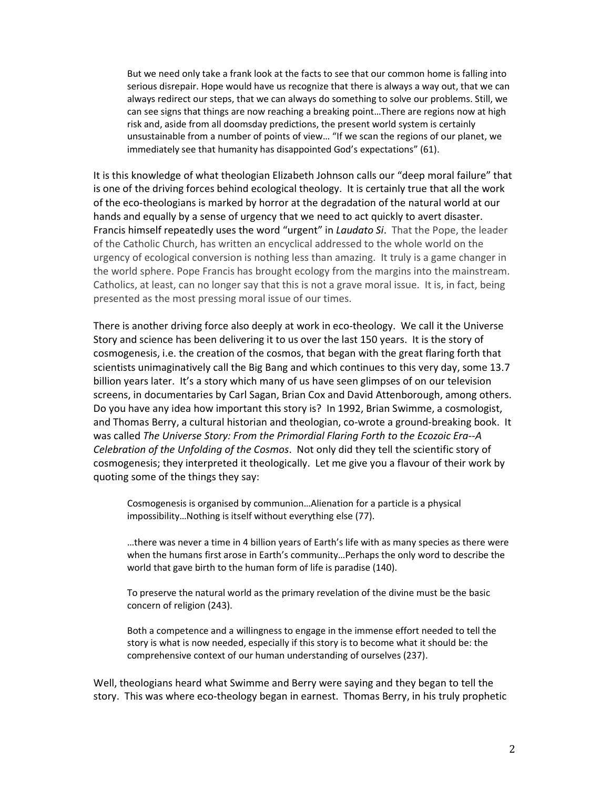But we need only take a frank look at the facts to see that our common home is falling into serious disrepair. Hope would have us recognize that there is always a way out, that we can always redirect our steps, that we can always do something to solve our problems. Still, we can see signs that things are now reaching a breaking point…There are regions now at high risk and, aside from all doomsday predictions, the present world system is certainly unsustainable from a number of points of view… "If we scan the regions of our planet, we immediately see that humanity has disappointed God's expectations" (61).

It is this knowledge of what theologian Elizabeth Johnson calls our "deep moral failure" that is one of the driving forces behind ecological theology. It is certainly true that all the work of the eco-theologians is marked by horror at the degradation of the natural world at our hands and equally by a sense of urgency that we need to act quickly to avert disaster. Francis himself repeatedly uses the word "urgent" in *Laudato Si*. That the Pope, the leader of the Catholic Church, has written an encyclical addressed to the whole world on the urgency of ecological conversion is nothing less than amazing. It truly is a game changer in the world sphere. Pope Francis has brought ecology from the margins into the mainstream. Catholics, at least, can no longer say that this is not a grave moral issue. It is, in fact, being presented as the most pressing moral issue of our times.

There is another driving force also deeply at work in eco-theology. We call it the Universe Story and science has been delivering it to us over the last 150 years. It is the story of cosmogenesis, i.e. the creation of the cosmos, that began with the great flaring forth that scientists unimaginatively call the Big Bang and which continues to this very day, some 13.7 billion years later. It's a story which many of us have seen glimpses of on our television screens, in documentaries by Carl Sagan, Brian Cox and David Attenborough, among others. Do you have any idea how important this story is? In 1992, Brian Swimme, a cosmologist, and Thomas Berry, a cultural historian and theologian, co-wrote a ground-breaking book. It was called *The Universe Story: From the Primordial Flaring Forth to the Ecozoic Era--A Celebration of the Unfolding of the Cosmos*. Not only did they tell the scientific story of cosmogenesis; they interpreted it theologically. Let me give you a flavour of their work by quoting some of the things they say:

Cosmogenesis is organised by communion…Alienation for a particle is a physical impossibility…Nothing is itself without everything else (77).

…there was never a time in 4 billion years of Earth's life with as many species as there were when the humans first arose in Earth's community…Perhaps the only word to describe the world that gave birth to the human form of life is paradise (140).

To preserve the natural world as the primary revelation of the divine must be the basic concern of religion (243).

Both a competence and a willingness to engage in the immense effort needed to tell the story is what is now needed, especially if this story is to become what it should be: the comprehensive context of our human understanding of ourselves (237).

Well, theologians heard what Swimme and Berry were saying and they began to tell the story. This was where eco-theology began in earnest. Thomas Berry, in his truly prophetic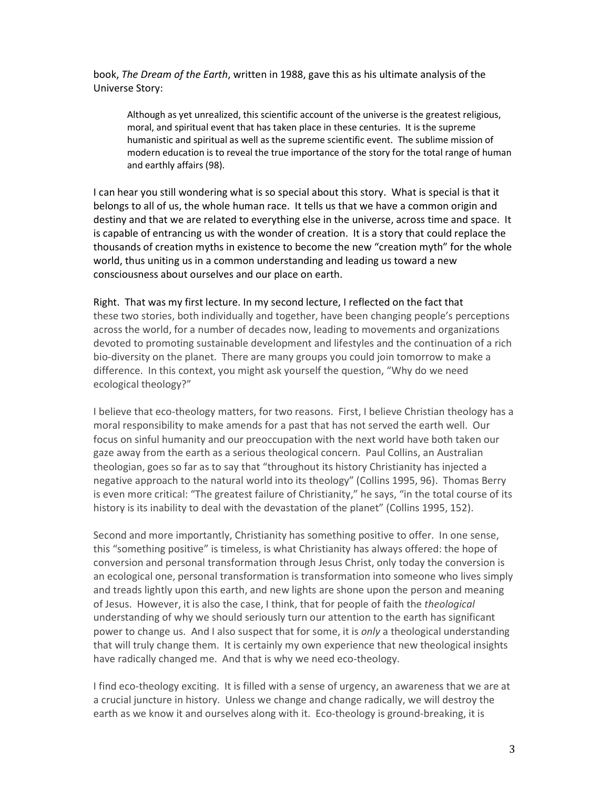book, *The Dream of the Earth*, written in 1988, gave this as his ultimate analysis of the Universe Story:

Although as yet unrealized, this scientific account of the universe is the greatest religious, moral, and spiritual event that has taken place in these centuries. It is the supreme humanistic and spiritual as well as the supreme scientific event. The sublime mission of modern education is to reveal the true importance of the story for the total range of human and earthly affairs (98).

I can hear you still wondering what is so special about this story. What is special is that it belongs to all of us, the whole human race. It tells us that we have a common origin and destiny and that we are related to everything else in the universe, across time and space. It is capable of entrancing us with the wonder of creation. It is a story that could replace the thousands of creation myths in existence to become the new "creation myth" for the whole world, thus uniting us in a common understanding and leading us toward a new consciousness about ourselves and our place on earth.

# Right. That was my first lecture. In my second lecture, I reflected on the fact that

these two stories, both individually and together, have been changing people's perceptions across the world, for a number of decades now, leading to movements and organizations devoted to promoting sustainable development and lifestyles and the continuation of a rich bio-diversity on the planet. There are many groups you could join tomorrow to make a difference. In this context, you might ask yourself the question, "Why do we need ecological theology?"

I believe that eco-theology matters, for two reasons. First, I believe Christian theology has a moral responsibility to make amends for a past that has not served the earth well. Our focus on sinful humanity and our preoccupation with the next world have both taken our gaze away from the earth as a serious theological concern. Paul Collins, an Australian theologian, goes so far as to say that "throughout its history Christianity has injected a negative approach to the natural world into its theology" (Collins 1995, 96). Thomas Berry is even more critical: "The greatest failure of Christianity," he says, "in the total course of its history is its inability to deal with the devastation of the planet" (Collins 1995, 152).

Second and more importantly, Christianity has something positive to offer. In one sense, this "something positive" is timeless, is what Christianity has always offered: the hope of conversion and personal transformation through Jesus Christ, only today the conversion is an ecological one, personal transformation is transformation into someone who lives simply and treads lightly upon this earth, and new lights are shone upon the person and meaning of Jesus. However, it is also the case, I think, that for people of faith the *theological* understanding of why we should seriously turn our attention to the earth has significant power to change us. And I also suspect that for some, it is *only* a theological understanding that will truly change them. It is certainly my own experience that new theological insights have radically changed me. And that is why we need eco-theology.

I find eco-theology exciting. It is filled with a sense of urgency, an awareness that we are at a crucial juncture in history. Unless we change and change radically, we will destroy the earth as we know it and ourselves along with it. Eco-theology is ground-breaking, it is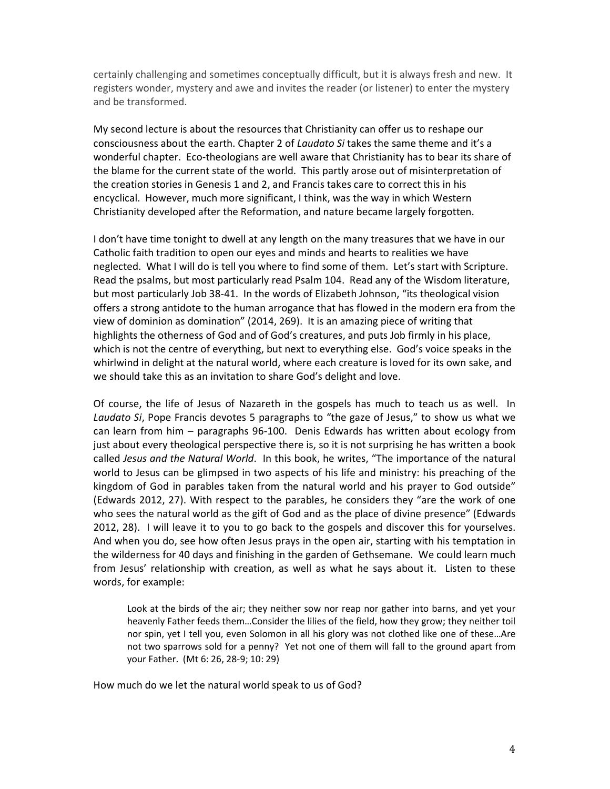certainly challenging and sometimes conceptually difficult, but it is always fresh and new. It registers wonder, mystery and awe and invites the reader (or listener) to enter the mystery and be transformed.

My second lecture is about the resources that Christianity can offer us to reshape our consciousness about the earth. Chapter 2 of *Laudato Si* takes the same theme and it's a wonderful chapter. Eco-theologians are well aware that Christianity has to bear its share of the blame for the current state of the world. This partly arose out of misinterpretation of the creation stories in Genesis 1 and 2, and Francis takes care to correct this in his encyclical. However, much more significant, I think, was the way in which Western Christianity developed after the Reformation, and nature became largely forgotten.

I don't have time tonight to dwell at any length on the many treasures that we have in our Catholic faith tradition to open our eyes and minds and hearts to realities we have neglected. What I will do is tell you where to find some of them. Let's start with Scripture. Read the psalms, but most particularly read Psalm 104. Read any of the Wisdom literature, but most particularly Job 38-41. In the words of Elizabeth Johnson, "its theological vision offers a strong antidote to the human arrogance that has flowed in the modern era from the view of dominion as domination" (2014, 269). It is an amazing piece of writing that highlights the otherness of God and of God's creatures, and puts Job firmly in his place, which is not the centre of everything, but next to everything else. God's voice speaks in the whirlwind in delight at the natural world, where each creature is loved for its own sake, and we should take this as an invitation to share God's delight and love.

Of course, the life of Jesus of Nazareth in the gospels has much to teach us as well. In *Laudato Si*, Pope Francis devotes 5 paragraphs to "the gaze of Jesus," to show us what we can learn from him – paragraphs 96-100. Denis Edwards has written about ecology from just about every theological perspective there is, so it is not surprising he has written a book called *Jesus and the Natural World*. In this book, he writes, "The importance of the natural world to Jesus can be glimpsed in two aspects of his life and ministry: his preaching of the kingdom of God in parables taken from the natural world and his prayer to God outside" (Edwards 2012, 27). With respect to the parables, he considers they "are the work of one who sees the natural world as the gift of God and as the place of divine presence" (Edwards 2012, 28). I will leave it to you to go back to the gospels and discover this for yourselves. And when you do, see how often Jesus prays in the open air, starting with his temptation in the wilderness for 40 days and finishing in the garden of Gethsemane. We could learn much from Jesus' relationship with creation, as well as what he says about it. Listen to these words, for example:

Look at the birds of the air; they neither sow nor reap nor gather into barns, and yet your heavenly Father feeds them…Consider the lilies of the field, how they grow; they neither toil nor spin, yet I tell you, even Solomon in all his glory was not clothed like one of these…Are not two sparrows sold for a penny? Yet not one of them will fall to the ground apart from your Father. (Mt 6: 26, 28-9; 10: 29)

How much do we let the natural world speak to us of God?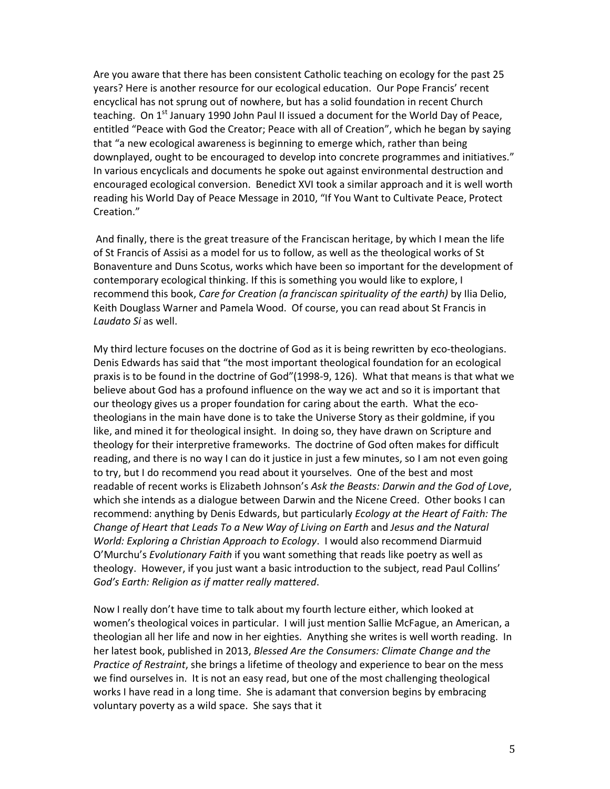Are you aware that there has been consistent Catholic teaching on ecology for the past 25 years? Here is another resource for our ecological education. Our Pope Francis' recent encyclical has not sprung out of nowhere, but has a solid foundation in recent Church teaching. On  $1<sup>st</sup>$  January 1990 John Paul II issued a document for the World Day of Peace, entitled "Peace with God the Creator; Peace with all of Creation", which he began by saying that "a new ecological awareness is beginning to emerge which, rather than being downplayed, ought to be encouraged to develop into concrete programmes and initiatives." In various encyclicals and documents he spoke out against environmental destruction and encouraged ecological conversion. Benedict XVI took a similar approach and it is well worth reading his World Day of Peace Message in 2010, "If You Want to Cultivate Peace, Protect Creation."

 And finally, there is the great treasure of the Franciscan heritage, by which I mean the life of St Francis of Assisi as a model for us to follow, as well as the theological works of St Bonaventure and Duns Scotus, works which have been so important for the development of contemporary ecological thinking. If this is something you would like to explore, I recommend this book, *Care for Creation (a franciscan spirituality of the earth)* by Ilia Delio, Keith Douglass Warner and Pamela Wood. Of course, you can read about St Francis in *Laudato Si* as well.

My third lecture focuses on the doctrine of God as it is being rewritten by eco-theologians. Denis Edwards has said that "the most important theological foundation for an ecological praxis is to be found in the doctrine of God"(1998-9, 126). What that means is that what we believe about God has a profound influence on the way we act and so it is important that our theology gives us a proper foundation for caring about the earth. What the ecotheologians in the main have done is to take the Universe Story as their goldmine, if you like, and mined it for theological insight. In doing so, they have drawn on Scripture and theology for their interpretive frameworks. The doctrine of God often makes for difficult reading, and there is no way I can do it justice in just a few minutes, so I am not even going to try, but I do recommend you read about it yourselves. One of the best and most readable of recent works is Elizabeth Johnson's *Ask the Beasts: Darwin and the God of Love*, which she intends as a dialogue between Darwin and the Nicene Creed. Other books I can recommend: anything by Denis Edwards, but particularly *Ecology at the Heart of Faith: The Change of Heart that Leads To a New Way of Living on Earth* and *Jesus and the Natural World: Exploring a Christian Approach to Ecology*. I would also recommend Diarmuid O'Murchu's *Evolutionary Faith* if you want something that reads like poetry as well as theology. However, if you just want a basic introduction to the subject, read Paul Collins' *God's Earth: Religion as if matter really mattered*.

Now I really don't have time to talk about my fourth lecture either, which looked at women's theological voices in particular. I will just mention Sallie McFague, an American, a theologian all her life and now in her eighties. Anything she writes is well worth reading. In her latest book, published in 2013, *Blessed Are the Consumers: Climate Change and the Practice of Restraint*, she brings a lifetime of theology and experience to bear on the mess we find ourselves in. It is not an easy read, but one of the most challenging theological works I have read in a long time. She is adamant that conversion begins by embracing voluntary poverty as a wild space. She says that it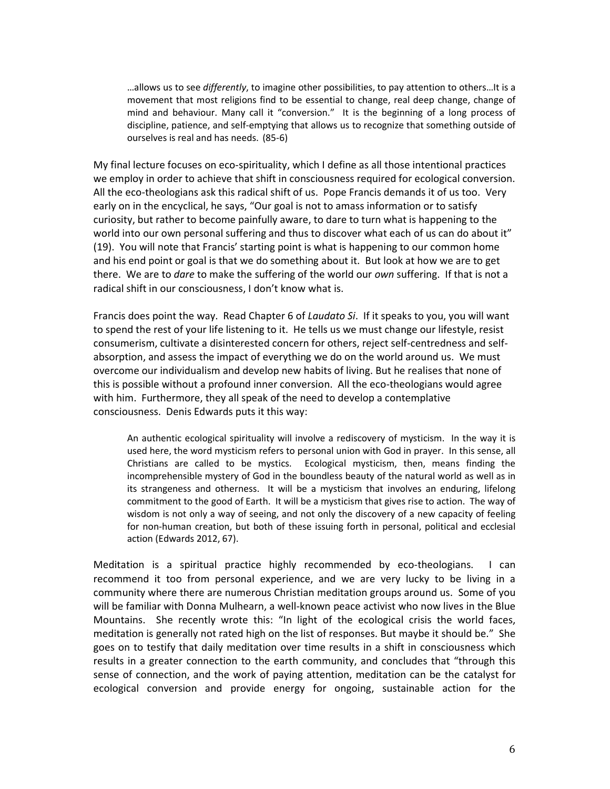…allows us to see *differently*, to imagine other possibilities, to pay attention to others…It is a movement that most religions find to be essential to change, real deep change, change of mind and behaviour. Many call it "conversion." It is the beginning of a long process of discipline, patience, and self-emptying that allows us to recognize that something outside of ourselves is real and has needs. (85-6)

My final lecture focuses on eco-spirituality, which I define as all those intentional practices we employ in order to achieve that shift in consciousness required for ecological conversion. All the eco-theologians ask this radical shift of us. Pope Francis demands it of us too. Very early on in the encyclical, he says, "Our goal is not to amass information or to satisfy curiosity, but rather to become painfully aware, to dare to turn what is happening to the world into our own personal suffering and thus to discover what each of us can do about it" (19). You will note that Francis' starting point is what is happening to our common home and his end point or goal is that we do something about it. But look at how we are to get there. We are to *dare* to make the suffering of the world our *own* suffering. If that is not a radical shift in our consciousness, I don't know what is.

Francis does point the way. Read Chapter 6 of *Laudato Si*. If it speaks to you, you will want to spend the rest of your life listening to it. He tells us we must change our lifestyle, resist consumerism, cultivate a disinterested concern for others, reject self-centredness and selfabsorption, and assess the impact of everything we do on the world around us. We must overcome our individualism and develop new habits of living. But he realises that none of this is possible without a profound inner conversion. All the eco-theologians would agree with him. Furthermore, they all speak of the need to develop a contemplative consciousness. Denis Edwards puts it this way:

An authentic ecological spirituality will involve a rediscovery of mysticism. In the way it is used here, the word mysticism refers to personal union with God in prayer. In this sense, all Christians are called to be mystics. Ecological mysticism, then, means finding the incomprehensible mystery of God in the boundless beauty of the natural world as well as in its strangeness and otherness. It will be a mysticism that involves an enduring, lifelong commitment to the good of Earth. It will be a mysticism that gives rise to action. The way of wisdom is not only a way of seeing, and not only the discovery of a new capacity of feeling for non-human creation, but both of these issuing forth in personal, political and ecclesial action (Edwards 2012, 67).

Meditation is a spiritual practice highly recommended by eco-theologians. I can recommend it too from personal experience, and we are very lucky to be living in a community where there are numerous Christian meditation groups around us. Some of you will be familiar with Donna Mulhearn, a well-known peace activist who now lives in the Blue Mountains. She recently wrote this: "In light of the ecological crisis the world faces, meditation is generally not rated high on the list of responses. But maybe it should be." She goes on to testify that daily meditation over time results in a shift in consciousness which results in a greater connection to the earth community, and concludes that "through this sense of connection, and the work of paying attention, meditation can be the catalyst for ecological conversion and provide energy for ongoing, sustainable action for the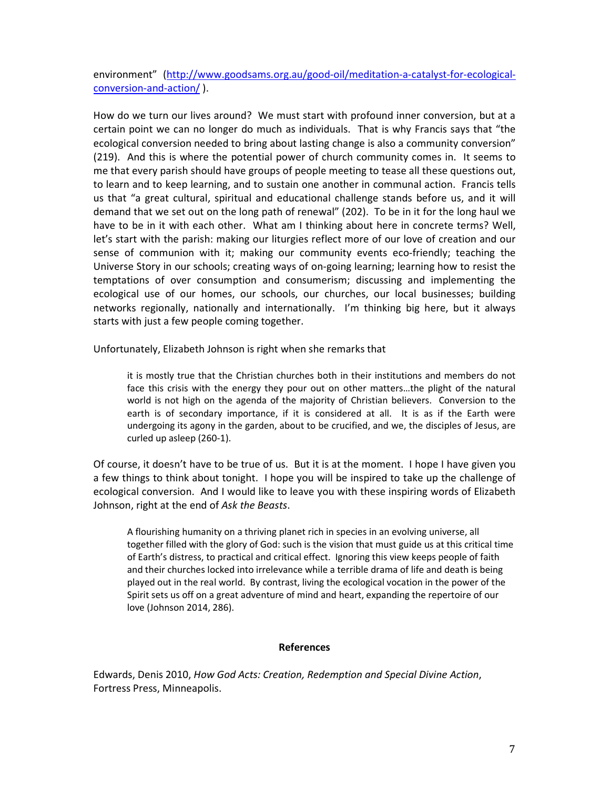environment" (http://www.goodsams.org.au/good-oil/meditation-a-catalyst-for-ecologicalconversion-and-action/ ).

How do we turn our lives around? We must start with profound inner conversion, but at a certain point we can no longer do much as individuals. That is why Francis says that "the ecological conversion needed to bring about lasting change is also a community conversion" (219). And this is where the potential power of church community comes in. It seems to me that every parish should have groups of people meeting to tease all these questions out, to learn and to keep learning, and to sustain one another in communal action. Francis tells us that "a great cultural, spiritual and educational challenge stands before us, and it will demand that we set out on the long path of renewal" (202). To be in it for the long haul we have to be in it with each other. What am I thinking about here in concrete terms? Well, let's start with the parish: making our liturgies reflect more of our love of creation and our sense of communion with it; making our community events eco-friendly; teaching the Universe Story in our schools; creating ways of on-going learning; learning how to resist the temptations of over consumption and consumerism; discussing and implementing the ecological use of our homes, our schools, our churches, our local businesses; building networks regionally, nationally and internationally. I'm thinking big here, but it always starts with just a few people coming together.

Unfortunately, Elizabeth Johnson is right when she remarks that

it is mostly true that the Christian churches both in their institutions and members do not face this crisis with the energy they pour out on other matters…the plight of the natural world is not high on the agenda of the majority of Christian believers. Conversion to the earth is of secondary importance, if it is considered at all. It is as if the Earth were undergoing its agony in the garden, about to be crucified, and we, the disciples of Jesus, are curled up asleep (260-1).

Of course, it doesn't have to be true of us. But it is at the moment. I hope I have given you a few things to think about tonight. I hope you will be inspired to take up the challenge of ecological conversion. And I would like to leave you with these inspiring words of Elizabeth Johnson, right at the end of *Ask the Beasts*.

A flourishing humanity on a thriving planet rich in species in an evolving universe, all together filled with the glory of God: such is the vision that must guide us at this critical time of Earth's distress, to practical and critical effect. Ignoring this view keeps people of faith and their churches locked into irrelevance while a terrible drama of life and death is being played out in the real world. By contrast, living the ecological vocation in the power of the Spirit sets us off on a great adventure of mind and heart, expanding the repertoire of our love (Johnson 2014, 286).

### **References**

Edwards, Denis 2010, *How God Acts: Creation, Redemption and Special Divine Action*, Fortress Press, Minneapolis.